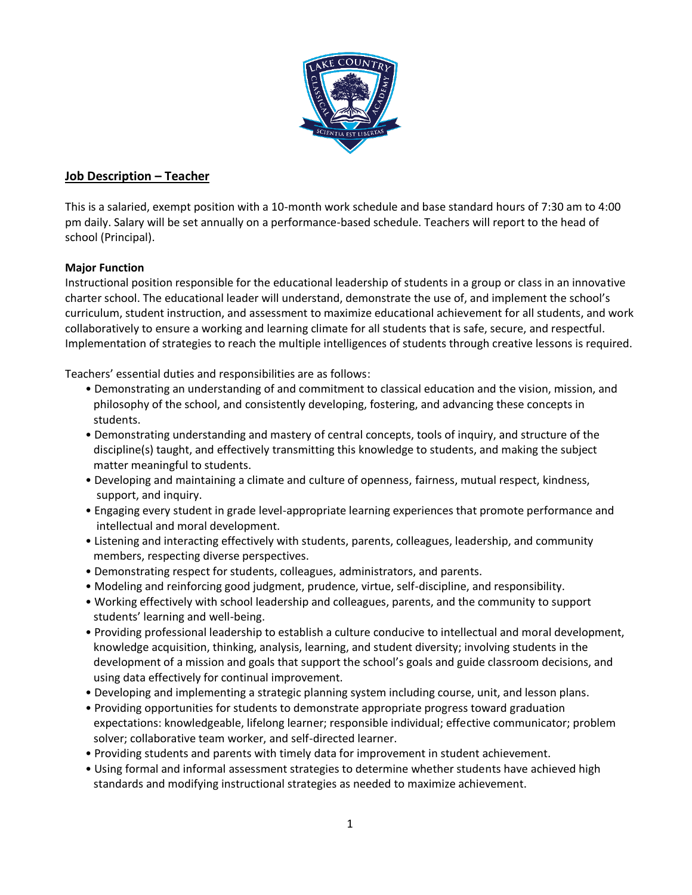

## **Job Description – Teacher**

This is a salaried, exempt position with a 10-month work schedule and base standard hours of 7:30 am to 4:00 pm daily. Salary will be set annually on a performance-based schedule. Teachers will report to the head of school (Principal).

## **Major Function**

Instructional position responsible for the educational leadership of students in a group or class in an innovative charter school. The educational leader will understand, demonstrate the use of, and implement the school's curriculum, student instruction, and assessment to maximize educational achievement for all students, and work collaboratively to ensure a working and learning climate for all students that is safe, secure, and respectful. Implementation of strategies to reach the multiple intelligences of students through creative lessons is required.

Teachers' essential duties and responsibilities are as follows:

- Demonstrating an understanding of and commitment to classical education and the vision, mission, and philosophy of the school, and consistently developing, fostering, and advancing these concepts in students.
- Demonstrating understanding and mastery of central concepts, tools of inquiry, and structure of the discipline(s) taught, and effectively transmitting this knowledge to students, and making the subject matter meaningful to students.
- Developing and maintaining a climate and culture of openness, fairness, mutual respect, kindness, support, and inquiry.
- Engaging every student in grade level-appropriate learning experiences that promote performance and intellectual and moral development.
- Listening and interacting effectively with students, parents, colleagues, leadership, and community members, respecting diverse perspectives.
- Demonstrating respect for students, colleagues, administrators, and parents.
- Modeling and reinforcing good judgment, prudence, virtue, self-discipline, and responsibility.
- Working effectively with school leadership and colleagues, parents, and the community to support students' learning and well-being.
- Providing professional leadership to establish a culture conducive to intellectual and moral development, knowledge acquisition, thinking, analysis, learning, and student diversity; involving students in the development of a mission and goals that support the school's goals and guide classroom decisions, and using data effectively for continual improvement.
- Developing and implementing a strategic planning system including course, unit, and lesson plans.
- Providing opportunities for students to demonstrate appropriate progress toward graduation expectations: knowledgeable, lifelong learner; responsible individual; effective communicator; problem solver; collaborative team worker, and self-directed learner.
- Providing students and parents with timely data for improvement in student achievement.
- Using formal and informal assessment strategies to determine whether students have achieved high standards and modifying instructional strategies as needed to maximize achievement.